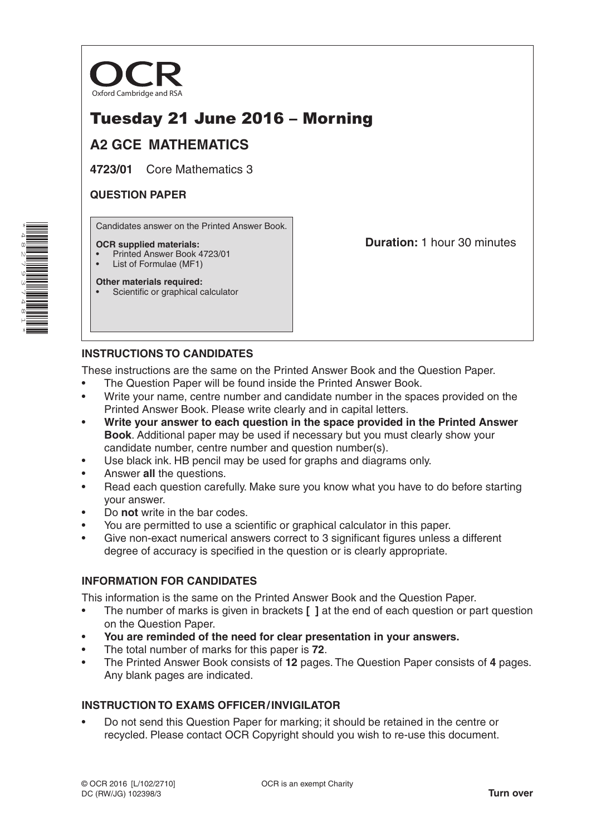

# Tuesday 21 June 2016 – Morning

# **A2 GCE MATHEMATICS**

**4723/01** Core Mathematics 3

## **QUESTION PAPER**

Candidates answer on the Printed Answer Book.

### **OCR supplied materials:**

- Printed Answer Book 4723/01
- List of Formulae (MF1)

**Other materials required:** Scientific or graphical calculator **Duration:** 1 hour 30 minutes

## **INSTRUCTIONS TO CANDIDATES**

These instructions are the same on the Printed Answer Book and the Question Paper.

- The Question Paper will be found inside the Printed Answer Book.
- Write your name, centre number and candidate number in the spaces provided on the Printed Answer Book. Please write clearly and in capital letters.
- **Write your answer to each question in the space provided in the Printed Answer Book**. Additional paper may be used if necessary but you must clearly show your candidate number, centre number and question number(s).
- Use black ink. HB pencil may be used for graphs and diagrams only.
- Answer **all** the questions.
- Read each question carefully. Make sure you know what you have to do before starting your answer.
- Do **not** write in the bar codes.
- You are permitted to use a scientific or graphical calculator in this paper.
- Give non-exact numerical answers correct to 3 significant figures unless a different degree of accuracy is specified in the question or is clearly appropriate.

## **INFORMATION FOR CANDIDATES**

This information is the same on the Printed Answer Book and the Question Paper.

- The number of marks is given in brackets **[ ]** at the end of each question or part question on the Question Paper.
- **You are reminded of the need for clear presentation in your answers.**
- The total number of marks for this paper is **72**.
- The Printed Answer Book consists of **12** pages. The Question Paper consists of **4** pages. Any blank pages are indicated.

## **INSTRUCTION TO EXAMS OFFICER/INVIGILATOR**

• Do not send this Question Paper for marking; it should be retained in the centre or recycled. Please contact OCR Copyright should you wish to re-use this document.

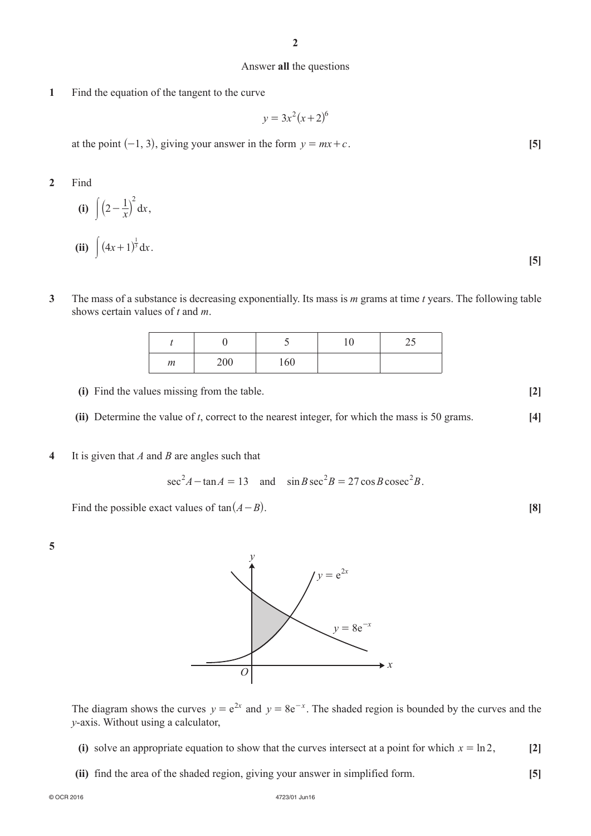#### Answer **all** the questions

**1**  Find the equation of the tangent to the curve

$$
y = 3x^2(x+2)^6
$$

at the point  $(-1, 3)$ , giving your answer in the form  $y = mx + c$ . **[5]** 

- **2**  Find
- **(i)**  $\int (2 \frac{1}{x})^2 dx$  $\left(2-\frac{1}{x}\right) dx$ , **(ii)**  $\int (4x+1)^{\frac{1}{3}} dx$ .
- **3**  The mass of a substance is decreasing exponentially. Its mass is *m* grams at time *t* years. The following table shows certain values of *t* and *m*.

|   |     |     | v | ر ے |
|---|-----|-----|---|-----|
| m | 200 | 160 |   |     |

- **(i)** Find the values missing from the table. **[2]**
- **(ii)** Determine the value of *t*, correct to the nearest integer, for which the mass is 50 grams.  $[4]$
- **4**  It is given that *A* and *B* are angles such that

 $\sec^2 A - \tan A = 13$  and  $\sin B \sec^2 B = 27 \cos B \csc^2 B$ .

Find the possible exact values of  $tan(A - B)$ . **[8] [8]** 

**5**



The diagram shows the curves  $y = e^{2x}$  and  $y = 8e^{-x}$ . The shaded region is bounded by the curves and the *y*-axis. Without using a calculator,

- **(i)** solve an appropriate equation to show that the curves intersect at a point for which  $x = \ln 2$ , [2]
- **(ii)** find the area of the shaded region, giving your answer in simplified form. **[5]**

**[5]**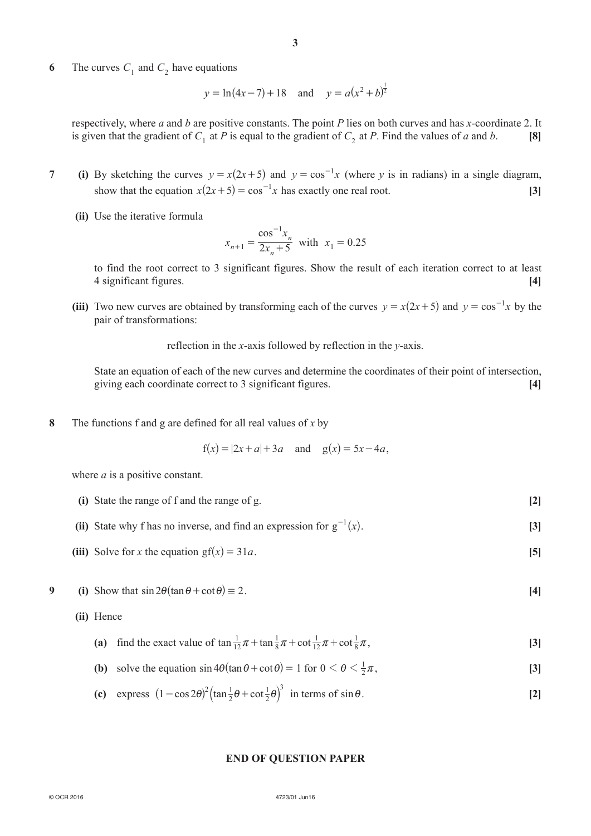**6** The curves  $C_1$  and  $C_2$  have equations

$$
y = \ln(4x - 7) + 18
$$
 and  $y = a(x^2 + b)^{\frac{1}{2}}$ 

respectively, where *a* and *b* are positive constants. The point *P* lies on both curves and has *x*-coordinate 2. It is given that the gradient of  $C_1$  at *P* is equal to the gradient of  $C_2$  at *P*. Find the values of *a* and *b*. [8]

1

- **7** (i) By sketching the curves  $y = x(2x+5)$  and  $y = cos^{-1}x$  (where *y* is in radians) in a single diagram, show that the equation  $x(2x+5) = \cos^{-1}x$  has exactly one real root. **[3]** 
	- **(ii)** Use the iterative formula

$$
x_{n+1} = \frac{\cos^{-1} x_n}{2x_n + 5}
$$
 with  $x_1 = 0.25$ 

to find the root correct to 3 significant figures. Show the result of each iteration correct to at least 4 significant figures. **[4]**

**(iii)** Two new curves are obtained by transforming each of the curves  $y = x(2x+5)$  and  $y = \cos^{-1} x$  by the pair of transformations:

reflection in the *x*-axis followed by reflection in the *y*-axis.

State an equation of each of the new curves and determine the coordinates of their point of intersection, giving each coordinate correct to 3 significant figures. **[4]**

**8**  The functions f and g are defined for all real values of *x* by

 $f(x) = |2x + a| + 3a$  and  $g(x) = 5x - 4a$ ,

where *a* is a positive constant.

- **(i)** State the range of f and the range of g. **[2]**
- **(ii)** State why f has no inverse, and find an expression for  $g^{-1}(x)$ . [3]
- (iii) Solve for *x* the equation gf $(x) = 31a$ . [5]
- **9** (i) Show that  $\sin 2\theta (\tan \theta + \cot \theta) \equiv 2$ . [4]
	- **(ii)**  Hence
- (a) find the exact value of  $\tan \frac{1}{12}\pi + \tan \frac{1}{8}\pi + \cot \frac{1}{12}\pi + \cot \frac{1}{8}\pi$ 8 1 12 1  $\pi + \tan \frac{1}{8}\pi + \cot \frac{1}{12}\pi + \cot \frac{1}{8}\pi$ , [3]
- **(b)** solve the equation  $\sin 4\theta (\tan \theta + \cot \theta) = 1$  for  $0 < \theta < \frac{1}{2}\pi$ , [3]
- **(c)** express  $(1 \cos 2\theta)^2 (\tan \frac{1}{2}\theta + \cot \theta)$ 1 2  $(1 - \cos 2\theta)^2 \left(\tan \frac{1}{2}\theta + \cot \frac{1}{2}\theta\right)^3$  in terms of  $\sin \theta$ . [2]

### **END OF QUESTION PAPER**

#### © OCR 2016 4723/01 Jun16